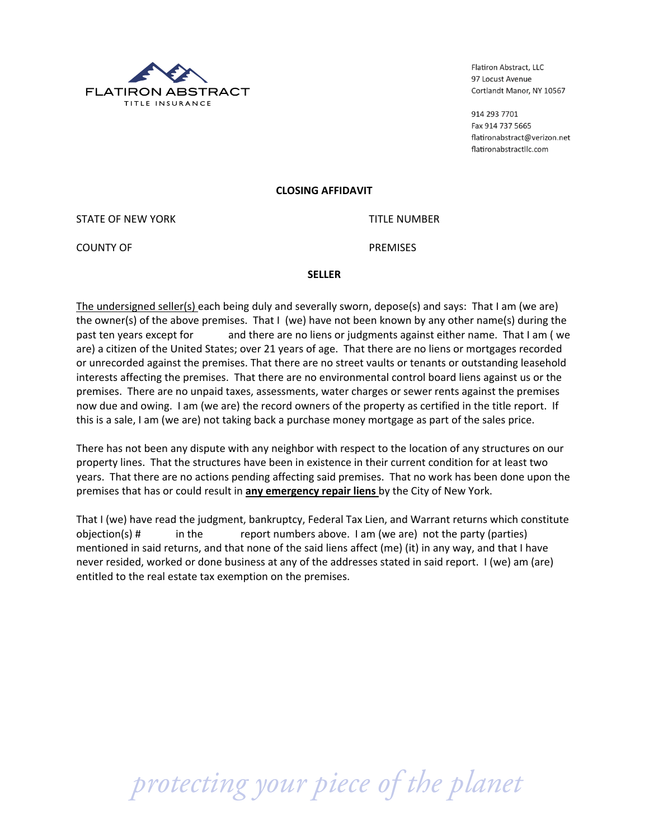

Flatiron Abstract, LLC 97 Locust Avenue Cortlandt Manor, NY 10567

914 293 7701 Fax 914 737 5665 flatironabstract@verizon.net flatironabstractllc.com

### **CLOSING(AFFIDAVIT**

STATE OF NEW YORK TITLE NUMBER

COUNTY!OF! PREMISES

### **SELLER**

The undersigned seller(s) each being duly and severally sworn, depose(s) and says: That I am (we are) the owner(s) of the above premises. That I (we) have not been known by any other name(s) during the past ten years except for and there are no liens or judgments against either name. That I am (we are) a citizen of the United States; over 21 years of age. That there are no liens or mortgages recorded or unrecorded against the premises. That there are no street vaults or tenants or outstanding leasehold interests affecting the premises. That there are no environmental control board liens against us or the premises. There are no unpaid taxes, assessments, water charges or sewer rents against the premises now due and owing. I am (we are) the record owners of the property as certified in the title report. If this is a sale, I am (we are) not taking back a purchase money mortgage as part of the sales price.

There has not been any dispute with any neighbor with respect to the location of any structures on our property lines. That the structures have been in existence in their current condition for at least two years. That there are no actions pending affecting said premises. That no work has been done upon the premises that has or could result in **any emergency repair liens** by the City of New York.

That I (we) have read the judgment, bankruptcy, Federal Tax Lien, and Warrant returns which constitute  $objection(s)$  #  $\qquad$  in the  $\qquad$  report numbers above. I am (we are) not the party (parties) mentioned in said returns, and that none of the said liens affect (me) (it) in any way, and that I have never resided, worked or done business at any of the addresses stated in said report. I (we) am (are) entitled to the real estate tax exemption on the premises.

 *protecting your piece of the planet*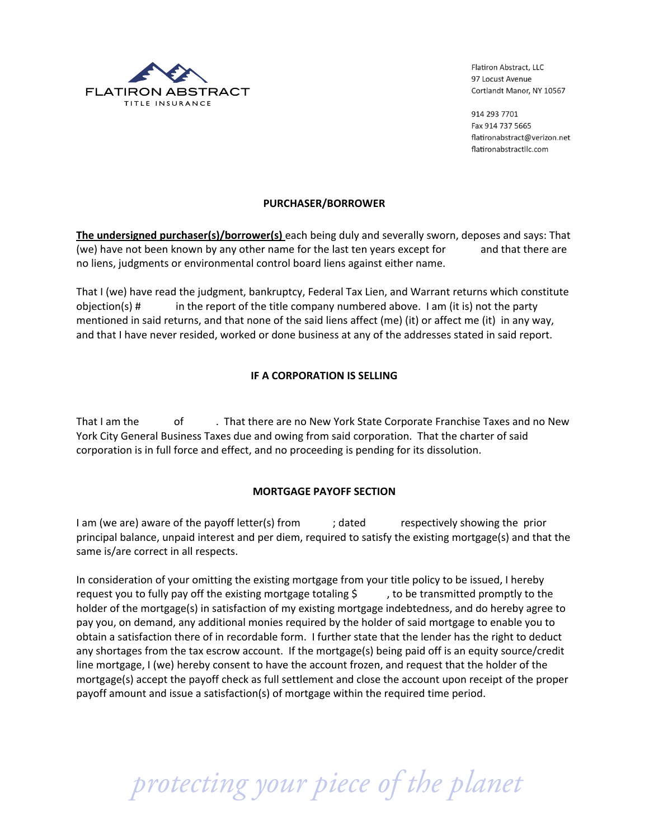

Flatiron Abstract, LLC 97 Locust Avenue Cortlandt Manor, NY 10567

914 293 7701 Fax 914 737 5665 flatironabstract@verizon.net flatironabstractllc.com

## **PURCHASER/BORROWER**

The undersigned purchaser(s)/borrower(s) each being duly and severally sworn, deposes and says: That (we) have not been known by any other name for the last ten years except for and that there are no liens, judgments or environmental control board liens against either name.

That I (we) have read the judgment, bankruptcy, Federal Tax Lien, and Warrant returns which constitute in the report of the title company numbered above. I am (it is) not the party  $objection(s)$ # mentioned in said returns, and that none of the said liens affect (me) (it) or affect me (it) in any way, and that I have never resided, worked or done business at any of the addresses stated in said report.

# **IF A CORPORATION IS SELLING**

That I am the of . That there are no New York State Corporate Franchise Taxes and no New York City General Business Taxes due and owing from said corporation. That the charter of said corporation is in full force and effect, and no proceeding is pending for its dissolution.

### **MORTGAGE PAYOFF SECTION**

I am (we are) aware of the payoff letter(s) from respectively showing the prior ; dated principal balance, unpaid interest and per diem, required to satisfy the existing mortgage(s) and that the same is/are correct in all respects.

In consideration of your omitting the existing mortgage from your title policy to be issued, I hereby request you to fully pay off the existing mortgage totaling \$ , to be transmitted promptly to the holder of the mortgage(s) in satisfaction of my existing mortgage indebtedness, and do hereby agree to pay you, on demand, any additional monies required by the holder of said mortgage to enable you to obtain a satisfaction there of in recordable form. I further state that the lender has the right to deduct any shortages from the tax escrow account. If the mortgage(s) being paid off is an equity source/credit line mortgage, I (we) hereby consent to have the account frozen, and request that the holder of the mortgage(s) accept the payoff check as full settlement and close the account upon receipt of the proper payoff amount and issue a satisfaction(s) of mortgage within the required time period.

protecting your piece of the planet